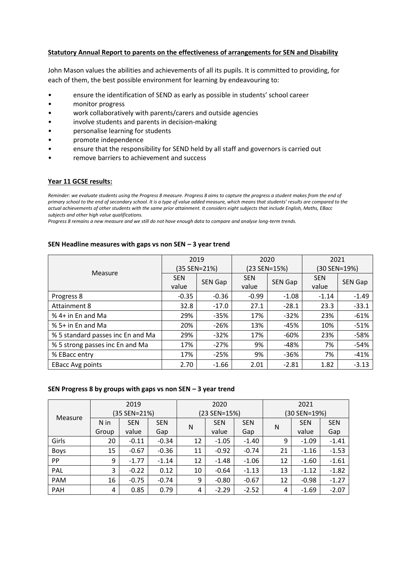## **Statutory Annual Report to parents on the effectiveness of arrangements for SEN and Disability**

John Mason values the abilities and achievements of all its pupils. It is committed to providing, for each of them, the best possible environment for learning by endeavouring to:

- ensure the identification of SEND as early as possible in students' school career
- monitor progress
- work collaboratively with parents/carers and outside agencies
- involve students and parents in decision-making
- personalise learning for students
- promote independence
- ensure that the responsibility for SEND held by all staff and governors is carried out
- remove barriers to achievement and success

## **Year 11 GCSE results:**

*Reminder: we evaluate students using the Progress 8 measure. Progress 8 aims to capture the progress a student makes from the end of primary school to the end of secondary school. It is a type of value added measure, which means that students' results are compared to the actual achievements of other students with the same prior attainment. It considers eight subjects that include English, Maths, EBacc subjects and other high value qualifications.* 

*Progress 8 remains a new measure and we still do not have enough data to compare and analyse long-term trends.*

## **SEN Headline measures with gaps vs non SEN – 3 year trend**

|                                   |            | 2019         |            | 2020         | 2021         |                |
|-----------------------------------|------------|--------------|------------|--------------|--------------|----------------|
| Measure                           |            | (35 SEN=21%) |            | (23 SEN=15%) | (30 SEN=19%) |                |
|                                   | <b>SEN</b> | SEN Gap      | <b>SEN</b> | SEN Gap      | <b>SEN</b>   | <b>SEN Gap</b> |
|                                   | value      |              | value      |              | value        |                |
| Progress 8                        | $-0.35$    | $-0.36$      | $-0.99$    | $-1.08$      | $-1.14$      | $-1.49$        |
| <b>Attainment 8</b>               | 32.8       | $-17.0$      | 27.1       | $-28.1$      | 23.3         | $-33.1$        |
| % 4+ in En and Ma                 | 29%        | $-35%$       | 17%        | $-32%$       | 23%          | $-61%$         |
| % 5+ in En and Ma                 | 20%        | $-26%$       | 13%        | $-45%$       | 10%          | $-51%$         |
| % 5 standard passes inc En and Ma | 29%        | $-32%$       | 17%        | $-60%$       | 23%          | $-58%$         |
| % 5 strong passes inc En and Ma   | 17%        | $-27%$       | 9%         | -48%         | 7%           | $-54%$         |
| % EBacc entry                     | 17%        | $-25%$       | 9%         | $-36%$       | 7%           | $-41%$         |
| <b>EBacc Avg points</b>           | 2.70       | $-1.66$      | 2.01       | $-2.81$      | 1.82         | $-3.13$        |

## **SEN Progress 8 by groups with gaps vs non SEN – 3 year trend**

| Measure     | 2019         |            | 2020       |              |            | 2021       |              |            |            |
|-------------|--------------|------------|------------|--------------|------------|------------|--------------|------------|------------|
|             | (35 SEN=21%) |            |            | (23 SEN=15%) |            |            | (30 SEN=19%) |            |            |
|             | N in         | <b>SEN</b> | <b>SEN</b> | N            | <b>SEN</b> | <b>SEN</b> | N            | <b>SEN</b> | <b>SEN</b> |
|             | Group        | value      | Gap        |              | value      | Gap        |              | value      | Gap        |
| Girls       | 20           | $-0.11$    | $-0.34$    | 12           | $-1.05$    | $-1.40$    | 9            | $-1.09$    | $-1.41$    |
| <b>Boys</b> | 15           | $-0.67$    | $-0.36$    | 11           | $-0.92$    | $-0.74$    | 21           | $-1.16$    | $-1.53$    |
| PP          | 9            | $-1.77$    | $-1.14$    | 12           | $-1.48$    | $-1.06$    | 12           | $-1.60$    | $-1.61$    |
| PAL         | 3            | $-0.22$    | 0.12       | 10           | $-0.64$    | $-1.13$    | 13           | $-1.12$    | $-1.82$    |
| PAM         | 16           | $-0.75$    | $-0.74$    | 9            | $-0.80$    | $-0.67$    | 12           | $-0.98$    | $-1.27$    |
| PAH         | 4            | 0.85       | 0.79       | 4            | $-2.29$    | $-2.52$    | 4            | $-1.69$    | $-2.07$    |